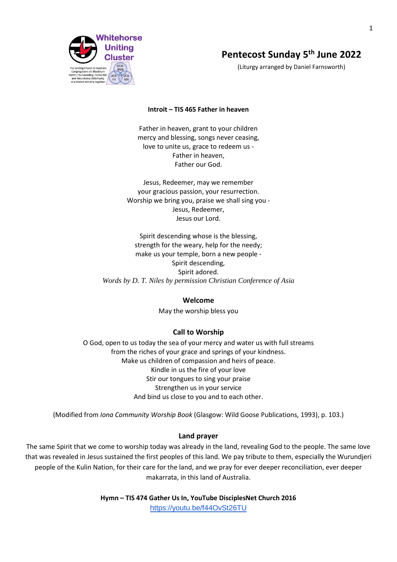

# **Pentecost Sunday 5th June 2022**

(Liturgy arranged by Daniel Farnsworth)

### **Introit – TIS 465 Father in heaven**

Father in heaven, grant to your children mercy and blessing, songs never ceasing, love to unite us, grace to redeem us - Father in heaven, Father our God.

Jesus, Redeemer, may we remember your gracious passion, your resurrection. Worship we bring you, praise we shall sing you - Jesus, Redeemer, Jesus our Lord.

Spirit descending whose is the blessing, strength for the weary, help for the needy; make us your temple, born a new people - Spirit descending, Spirit adored. *Words by D. T. Niles by permission Christian Conference of Asia*

### **Welcome**

May the worship bless you

### **Call to Worship**

O God, open to us today the sea of your mercy and water us with full streams from the riches of your grace and springs of your kindness. Make us children of compassion and heirs of peace. Kindle in us the fire of your love Stir our tongues to sing your praise Strengthen us in your service And bind us close to you and to each other.

(Modified from *Iona Community Worship Book* (Glasgow: Wild Goose Publications, 1993), p. 103.)

### **Land prayer**

The same Spirit that we come to worship today was already in the land, revealing God to the people. The same love that was revealed in Jesus sustained the first peoples of this land. We pay tribute to them, especially the Wurundjeri people of the Kulin Nation, for their care for the land, and we pray for ever deeper reconciliation, ever deeper makarrata, in this land of Australia.

> **Hymn – TIS 474 Gather Us In, YouTube DisciplesNet Church 2016** <https://youtu.be/f44OvSt26TU>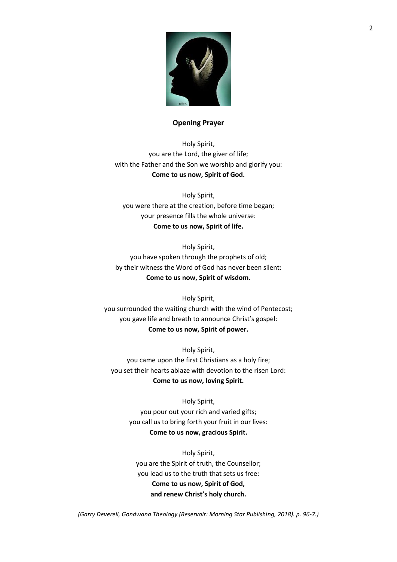

### **Opening Prayer**

Holy Spirit, you are the Lord, the giver of life; with the Father and the Son we worship and glorify you: **Come to us now, Spirit of God.**

Holy Spirit, you were there at the creation, before time began; your presence fills the whole universe: **Come to us now, Spirit of life.**

Holy Spirit, you have spoken through the prophets of old; by their witness the Word of God has never been silent: **Come to us now, Spirit of wisdom.**

Holy Spirit, you surrounded the waiting church with the wind of Pentecost; you gave life and breath to announce Christ's gospel: **Come to us now, Spirit of power.**

Holy Spirit, you came upon the first Christians as a holy fire; you set their hearts ablaze with devotion to the risen Lord: **Come to us now, loving Spirit.**

> Holy Spirit, you pour out your rich and varied gifts; you call us to bring forth your fruit in our lives: **Come to us now, gracious Spirit.**

Holy Spirit, you are the Spirit of truth, the Counsellor; you lead us to the truth that sets us free: **Come to us now, Spirit of God, and renew Christ's holy church.**

*(Garry Deverell, Gondwana Theology (Reservoir: Morning Star Publishing, 2018). p. 96-7.)*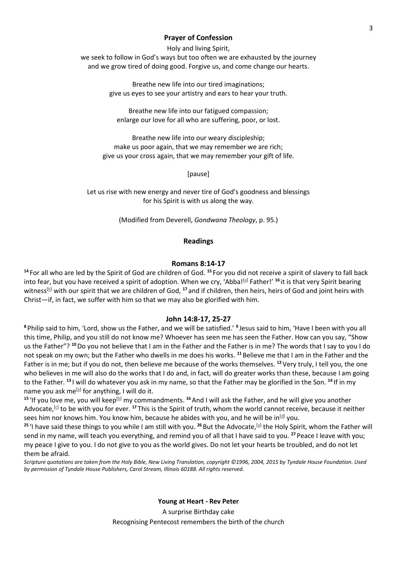### **Prayer of Confession**

Holy and living Spirit, we seek to follow in God's ways but too often we are exhausted by the journey and we grow tired of doing good. Forgive us, and come change our hearts.

> Breathe new life into our tired imaginations; give us eyes to see your artistry and ears to hear your truth.

Breathe new life into our fatigued compassion; enlarge our love for all who are suffering, poor, or lost.

Breathe new life into our weary discipleship; make us poor again, that we may remember we are rich; give us your cross again, that we may remember your gift of life.

[pause]

Let us rise with new energy and never tire of God's goodness and blessings for his Spirit is with us along the way.

(Modified from Deverell, *Gondwana Theology*, p. 95.)

### **Readings**

### **Romans 8:14-17**

**<sup>14</sup>** For all who are led by the Spirit of God are children of God. **<sup>15</sup>** For you did not receive a spirit of slavery to fall back into fear, but you have received a spirit of adoption. When we cry, 'Abba!<sup>[\[a\]](https://www.biblegateway.com/passage/?search=+Romans+8%3A14-17&version=NRSVA#fen-NRSVA-28117a)</sup> Father!' <sup>16</sup> it is that very Spirit bearing witness<sup>[\[b\]](https://www.biblegateway.com/passage/?search=+Romans+8%3A14-17&version=NRSVA#fen-NRSVA-28118b)</sup> with our spirit that we are children of God, <sup>17</sup> and if children, then heirs, heirs of God and joint heirs with Christ—if, in fact, we suffer with him so that we may also be glorified with him.

### **John 14:8-17, 25-27**

**<sup>8</sup>** Philip said to him, 'Lord, show us the Father, and we will be satisfied.' **<sup>9</sup>** Jesus said to him, 'Have I been with you all this time, Philip, and you still do not know me? Whoever has seen me has seen the Father. How can you say, "Show us the Father"? **<sup>10</sup>**Do you not believe that I am in the Father and the Father is in me? The words that I say to you I do not speak on my own; but the Father who dwells in me does his works. **<sup>11</sup>** Believe me that I am in the Father and the Father is in me; but if you do not, then believe me because of the works themselves. **<sup>12</sup>**Very truly, I tell you, the one who believes in me will also do the works that I do and, in fact, will do greater works than these, because I am going to the Father. **<sup>13</sup>** I will do whatever you ask in my name, so that the Father may be glorified in the Son. **<sup>14</sup>** If in my name you ask me<sup>[\[a\]](https://www.biblegateway.com/passage/?search=John+14%3A8-17%2C+25-27&version=NRSVA#fen-NRSVA-26672a)</sup> for anything, I will do it.

<sup>15</sup> 'If you love me, you will keep<sup>[\[b\]](https://www.biblegateway.com/passage/?search=John+14%3A8-17%2C+25-27&version=NRSVA#fen-NRSVA-26673b)</sup> my commandments. <sup>16</sup> And I will ask the Father, and he will give you another Advocate,<sup>[\[c\]](https://www.biblegateway.com/passage/?search=John+14%3A8-17%2C+25-27&version=NRSVA#fen-NRSVA-26674c)</sup> to be with you for ever. <sup>17</sup> This is the Spirit of truth, whom the world cannot receive, because it neither sees him nor knows him. You know him, because he abides with you, and he will be in<sup>[\[d\]](https://www.biblegateway.com/passage/?search=John+14%3A8-17%2C+25-27&version=NRSVA#fen-NRSVA-26675d)</sup> you.

<sup>25</sup> 'I have said these things to you while I am still with you. <sup>26</sup> But the Advocate,<sup>[\[a\]](https://www.biblegateway.com/passage/?search=John+14%3A25-27&version=NRSVA#fen-NRSVA-26684a)</sup> the Holy Spirit, whom the Father will send in my name, will teach you everything, and remind you of all that I have said to you. **<sup>27</sup>** Peace I leave with you; my peace I give to you. I do not give to you as the world gives. Do not let your hearts be troubled, and do not let them be afraid.

*Scripture quotations are taken from the Holy Bible, New Living Translation, copyright ©1996, 2004, 2015 by Tyndale House Foundation. Used by permission of Tyndale House Publishers, Carol Stream, Illinois 60188. All rights reserved.*

> **Young at Heart - Rev Peter** A surprise Birthday cake Recognising Pentecost remembers the birth of the church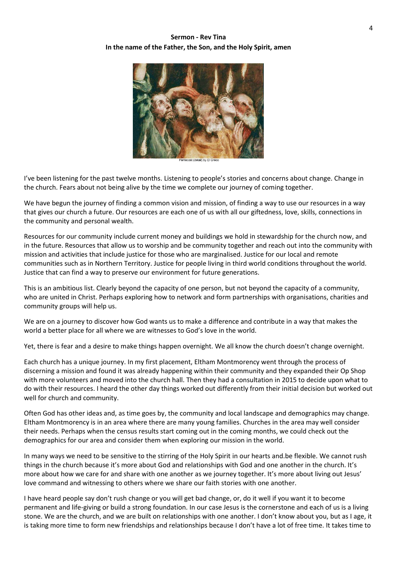## **Sermon - Rev Tina In the name of the Father, the Son, and the Holy Spirit, amen**



I've been listening for the past twelve months. Listening to people's stories and concerns about change. Change in the church. Fears about not being alive by the time we complete our journey of coming together.

We have begun the journey of finding a common vision and mission, of finding a way to use our resources in a way that gives our church a future. Our resources are each one of us with all our giftedness, love, skills, connections in the community and personal wealth.

Resources for our community include current money and buildings we hold in stewardship for the church now, and in the future. Resources that allow us to worship and be community together and reach out into the community with mission and activities that include justice for those who are marginalised. Justice for our local and remote communities such as in Northern Territory. Justice for people living in third world conditions throughout the world. Justice that can find a way to preserve our environment for future generations.

This is an ambitious list. Clearly beyond the capacity of one person, but not beyond the capacity of a community, who are united in Christ. Perhaps exploring how to network and form partnerships with organisations, charities and community groups will help us.

We are on a journey to discover how God wants us to make a difference and contribute in a way that makes the world a better place for all where we are witnesses to God's love in the world.

Yet, there is fear and a desire to make things happen overnight. We all know the church doesn't change overnight.

Each church has a unique journey. In my first placement, Eltham Montmorency went through the process of discerning a mission and found it was already happening within their community and they expanded their Op Shop with more volunteers and moved into the church hall. Then they had a consultation in 2015 to decide upon what to do with their resources. I heard the other day things worked out differently from their initial decision but worked out well for church and community.

Often God has other ideas and, as time goes by, the community and local landscape and demographics may change. Eltham Montmorency is in an area where there are many young families. Churches in the area may well consider their needs. Perhaps when the census results start coming out in the coming months, we could check out the demographics for our area and consider them when exploring our mission in the world.

In many ways we need to be sensitive to the stirring of the Holy Spirit in our hearts and.be flexible. We cannot rush things in the church because it's more about God and relationships with God and one another in the church. It's more about how we care for and share with one another as we journey together. It's more about living out Jesus' love command and witnessing to others where we share our faith stories with one another.

I have heard people say don't rush change or you will get bad change, or, do it well if you want it to become permanent and life-giving or build a strong foundation. In our case Jesus is the cornerstone and each of us is a living stone. We are the church, and we are built on relationships with one another. I don't know about you, but as I age, it is taking more time to form new friendships and relationships because I don't have a lot of free time. It takes time to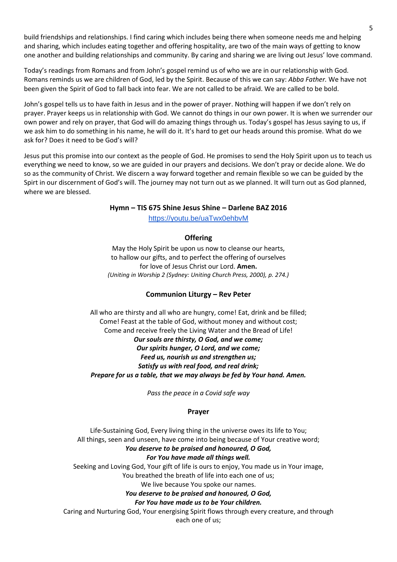build friendships and relationships. I find caring which includes being there when someone needs me and helping and sharing, which includes eating together and offering hospitality, are two of the main ways of getting to know one another and building relationships and community. By caring and sharing we are living out Jesus' love command.

Today's readings from Romans and from John's gospel remind us of who we are in our relationship with God. Romans reminds us we are children of God, led by the Spirit. Because of this we can say: *Abba Father.* We have not been given the Spirit of God to fall back into fear. We are not called to be afraid. We are called to be bold.

John's gospel tells us to have faith in Jesus and in the power of prayer. Nothing will happen if we don't rely on prayer. Prayer keeps us in relationship with God. We cannot do things in our own power. It is when we surrender our own power and rely on prayer, that God will do amazing things through us. Today's gospel has Jesus saying to us, if we ask him to do something in his name, he will do it. It's hard to get our heads around this promise. What do we ask for? Does it need to be God's will?

Jesus put this promise into our context as the people of God. He promises to send the Holy Spirit upon us to teach us everything we need to know, so we are guided in our prayers and decisions. We don't pray or decide alone. We do so as the community of Christ. We discern a way forward together and remain flexible so we can be guided by the Spirt in our discernment of God's will. The journey may not turn out as we planned. It will turn out as God planned, where we are blessed.

### **Hymn – TIS 675 Shine Jesus Shine – Darlene BAZ 2016**

<https://youtu.be/uaTwx0ehbvM>

## **Offering**

May the Holy Spirit be upon us now to cleanse our hearts, to hallow our gifts, and to perfect the offering of ourselves for love of Jesus Christ our Lord. **Amen.** *(Uniting in Worship 2 (Sydney: Uniting Church Press, 2000), p. 274.)*

## **Communion Liturgy – Rev Peter**

All who are thirsty and all who are hungry, come! Eat, drink and be filled; Come! Feast at the table of God, without money and without cost; Come and receive freely the Living Water and the Bread of Life! *Our souls are thirsty, O God, and we come; Our spirits hunger, O Lord, and we come; Feed us, nourish us and strengthen us; Satisfy us with real food, and real drink; Prepare for us a table, that we may always be fed by Your hand. Amen.*

*Pass the peace in a Covid safe way*

## **Prayer**

Life-Sustaining God, Every living thing in the universe owes its life to You; All things, seen and unseen, have come into being because of Your creative word; *You deserve to be praised and honoured, O God, For You have made all things well.* Seeking and Loving God, Your gift of life is ours to enjoy, You made us in Your image, You breathed the breath of life into each one of us; We live because You spoke our names. *You deserve to be praised and honoured, O God, For You have made us to be Your children.*

Caring and Nurturing God, Your energising Spirit flows through every creature, and through each one of us;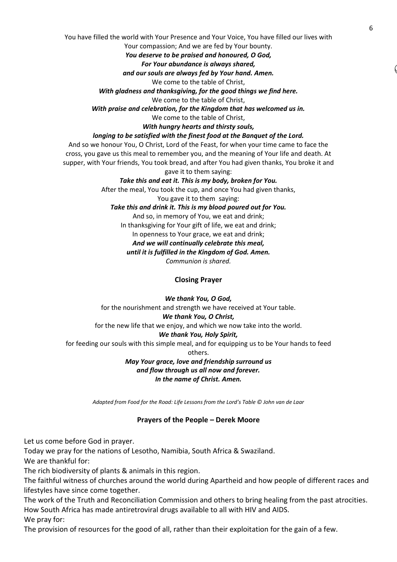You have filled the world with Your Presence and Your Voice, You have filled our lives with

Your compassion; And we are fed by Your bounty. *You deserve to be praised and honoured, O God,*

# *For Your abundance is always shared,*

*and our souls are always fed by Your hand. Amen.*

We come to the table of Christ,

*With gladness and thanksgiving, for the good things we find here.*

We come to the table of Christ,

*With praise and celebration, for the Kingdom that has welcomed us in.*

We come to the table of Christ,

*With hungry hearts and thirsty souls,*

### *longing to be satisfied with the finest food at the Banquet of the Lord.*

And so we honour You, O Christ, Lord of the Feast, for when your time came to face the cross, you gave us this meal to remember you, and the meaning of Your life and death. At supper, with Your friends, You took bread, and after You had given thanks, You broke it and gave it to them saying:

*Take this and eat it. This is my body, broken for You.*

After the meal, You took the cup, and once You had given thanks,

You gave it to them saying:

## *Take this and drink it. This is my blood poured out for You.*

And so, in memory of You, we eat and drink;

In thanksgiving for Your gift of life, we eat and drink;

In openness to Your grace, we eat and drink;

### *And we will continually celebrate this meal,*

### *until it is fulfilled in the Kingdom of God. Amen.*

*Communion is shared.*

## **Closing Prayer**

## *We thank You, O God,* for the nourishment and strength we have received at Your table. *We thank You, O Christ,* for the new life that we enjoy, and which we now take into the world. *We thank You, Holy Spirit,* for feeding our souls with this simple meal, and for equipping us to be Your hands to feed others. *May Your grace, love and friendship surround us*

# *and flow through us all now and forever. In the name of Christ. Amen.*

*Adapted from Food for the Road: Life Lessons from the Lord's Table © John van de Laar*

## **Prayers of the People – Derek Moore**

Let us come before God in prayer.

Today we pray for the nations of Lesotho, Namibia, South Africa & Swaziland.

We are thankful for:

The rich biodiversity of plants & animals in this region.

The faithful witness of churches around the world during Apartheid and how people of different races and lifestyles have since come together.

The work of the Truth and Reconciliation Commission and others to bring healing from the past atrocities. How South Africa has made antiretroviral drugs available to all with HIV and AIDS. We pray for:

The provision of resources for the good of all, rather than their exploitation for the gain of a few.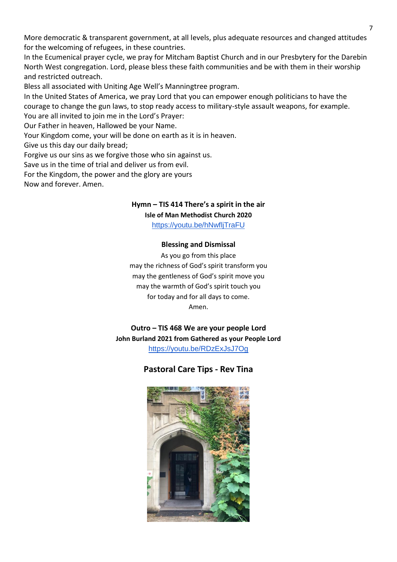More democratic & transparent government, at all levels, plus adequate resources and changed attitudes for the welcoming of refugees, in these countries.

In the Ecumenical prayer cycle, we pray for Mitcham Baptist Church and in our Presbytery for the Darebin North West congregation. Lord, please bless these faith communities and be with them in their worship and restricted outreach.

Bless all associated with Uniting Age Well's Manningtree program.

In the United States of America, we pray Lord that you can empower enough politicians to have the courage to change the gun laws, to stop ready access to military-style assault weapons, for example. You are all invited to join me in the Lord's Prayer:

Our Father in heaven, Hallowed be your Name.

Your Kingdom come, your will be done on earth as it is in heaven.

Give us this day our daily bread;

Forgive us our sins as we forgive those who sin against us.

Save us in the time of trial and deliver us from evil.

For the Kingdom, the power and the glory are yours

Now and forever. Amen.

## **Hymn – TIS 414 There's a spirit in the air**

**Isle of Man Methodist Church 2020**

<https://youtu.be/hNwfljTraFU>

## **Blessing and Dismissal**

As you go from this place may the richness of God's spirit transform you may the gentleness of God's spirit move you may the warmth of God's spirit touch you for today and for all days to come. Amen.

**Outro – TIS 468 We are your people Lord John Burland 2021 from Gathered as your People Lord** <https://youtu.be/RDzExJsJ7Og>

## **Pastoral Care Tips - Rev Tina**